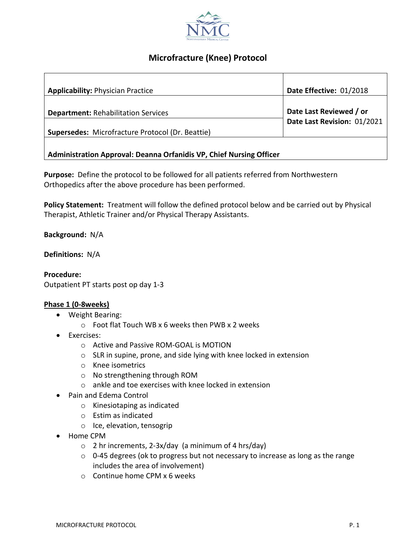

## **Microfracture (Knee) Protocol**

| <b>Applicability: Physician Practice</b>                                   | Date Effective: 01/2018                                |
|----------------------------------------------------------------------------|--------------------------------------------------------|
| <b>Department: Rehabilitation Services</b>                                 | Date Last Reviewed / or<br>Date Last Revision: 01/2021 |
| Supersedes: Microfracture Protocol (Dr. Beattie)                           |                                                        |
| <b>Administration Approval: Deanna Orfanidis VP, Chief Nursing Officer</b> |                                                        |

**Purpose:** Define the protocol to be followed for all patients referred from Northwestern Orthopedics after the above procedure has been performed.

**Policy Statement:** Treatment will follow the defined protocol below and be carried out by Physical Therapist, Athletic Trainer and/or Physical Therapy Assistants.

**Background:** N/A

**Definitions:** N/A

**Procedure:** Outpatient PT starts post op day 1-3

## **Phase 1 (0-8weeks)**

- Weight Bearing:
	- o Foot flat Touch WB x 6 weeks then PWB x 2 weeks
- Exercises:
	- o Active and Passive ROM-GOAL is MOTION
	- o SLR in supine, prone, and side lying with knee locked in extension
	- o Knee isometrics
	- o No strengthening through ROM
	- o ankle and toe exercises with knee locked in extension
- Pain and Edema Control
	- o Kinesiotaping as indicated
	- o Estim as indicated
	- o Ice, elevation, tensogrip
- Home CPM
	- $\circ$  2 hr increments, 2-3x/day (a minimum of 4 hrs/day)
	- o 0-45 degrees (ok to progress but not necessary to increase as long as the range includes the area of involvement)
	- o Continue home CPM x 6 weeks